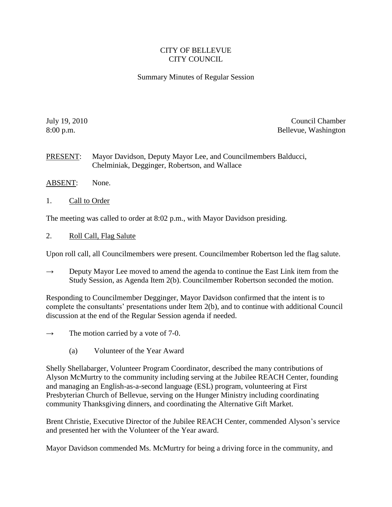## CITY OF BELLEVUE CITY COUNCIL

## Summary Minutes of Regular Session

July 19, 2010 Council Chamber 8:00 p.m. Bellevue, Washington

PRESENT: Mayor Davidson, Deputy Mayor Lee, and Councilmembers Balducci, Chelminiak, Degginger, Robertson, and Wallace

- ABSENT: None.
- 1. Call to Order

The meeting was called to order at 8:02 p.m., with Mayor Davidson presiding.

2. Roll Call, Flag Salute

Upon roll call, all Councilmembers were present. Councilmember Robertson led the flag salute.

 $\rightarrow$  Deputy Mayor Lee moved to amend the agenda to continue the East Link item from the Study Session, as Agenda Item 2(b). Councilmember Robertson seconded the motion.

Responding to Councilmember Degginger, Mayor Davidson confirmed that the intent is to complete the consultants' presentations under Item 2(b), and to continue with additional Council discussion at the end of the Regular Session agenda if needed.

- $\rightarrow$  The motion carried by a vote of 7-0.
	- (a) Volunteer of the Year Award

Shelly Shellabarger, Volunteer Program Coordinator, described the many contributions of Alyson McMurtry to the community including serving at the Jubilee REACH Center, founding and managing an English-as-a-second language (ESL) program, volunteering at First Presbyterian Church of Bellevue, serving on the Hunger Ministry including coordinating community Thanksgiving dinners, and coordinating the Alternative Gift Market.

Brent Christie, Executive Director of the Jubilee REACH Center, commended Alyson's service and presented her with the Volunteer of the Year award.

Mayor Davidson commended Ms. McMurtry for being a driving force in the community, and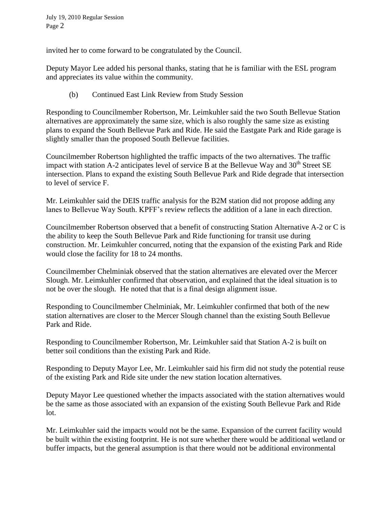invited her to come forward to be congratulated by the Council.

Deputy Mayor Lee added his personal thanks, stating that he is familiar with the ESL program and appreciates its value within the community.

(b) Continued East Link Review from Study Session

Responding to Councilmember Robertson, Mr. Leimkuhler said the two South Bellevue Station alternatives are approximately the same size, which is also roughly the same size as existing plans to expand the South Bellevue Park and Ride. He said the Eastgate Park and Ride garage is slightly smaller than the proposed South Bellevue facilities.

Councilmember Robertson highlighted the traffic impacts of the two alternatives. The traffic impact with station A-2 anticipates level of service B at the Bellevue Way and  $30<sup>th</sup>$  Street SE intersection. Plans to expand the existing South Bellevue Park and Ride degrade that intersection to level of service F.

Mr. Leimkuhler said the DEIS traffic analysis for the B2M station did not propose adding any lanes to Bellevue Way South. KPFF's review reflects the addition of a lane in each direction.

Councilmember Robertson observed that a benefit of constructing Station Alternative A-2 or C is the ability to keep the South Bellevue Park and Ride functioning for transit use during construction. Mr. Leimkuhler concurred, noting that the expansion of the existing Park and Ride would close the facility for 18 to 24 months.

Councilmember Chelminiak observed that the station alternatives are elevated over the Mercer Slough. Mr. Leimkuhler confirmed that observation, and explained that the ideal situation is to not be over the slough. He noted that that is a final design alignment issue.

Responding to Councilmember Chelminiak, Mr. Leimkuhler confirmed that both of the new station alternatives are closer to the Mercer Slough channel than the existing South Bellevue Park and Ride.

Responding to Councilmember Robertson, Mr. Leimkuhler said that Station A-2 is built on better soil conditions than the existing Park and Ride.

Responding to Deputy Mayor Lee, Mr. Leimkuhler said his firm did not study the potential reuse of the existing Park and Ride site under the new station location alternatives.

Deputy Mayor Lee questioned whether the impacts associated with the station alternatives would be the same as those associated with an expansion of the existing South Bellevue Park and Ride lot.

Mr. Leimkuhler said the impacts would not be the same. Expansion of the current facility would be built within the existing footprint. He is not sure whether there would be additional wetland or buffer impacts, but the general assumption is that there would not be additional environmental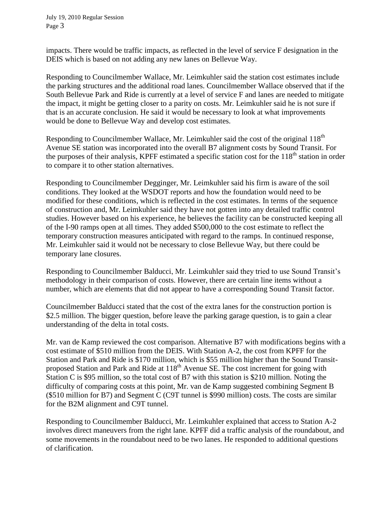impacts. There would be traffic impacts, as reflected in the level of service F designation in the DEIS which is based on not adding any new lanes on Bellevue Way.

Responding to Councilmember Wallace, Mr. Leimkuhler said the station cost estimates include the parking structures and the additional road lanes. Councilmember Wallace observed that if the South Bellevue Park and Ride is currently at a level of service F and lanes are needed to mitigate the impact, it might be getting closer to a parity on costs. Mr. Leimkuhler said he is not sure if that is an accurate conclusion. He said it would be necessary to look at what improvements would be done to Bellevue Way and develop cost estimates.

Responding to Councilmember Wallace, Mr. Leimkuhler said the cost of the original 118<sup>th</sup> Avenue SE station was incorporated into the overall B7 alignment costs by Sound Transit. For the purposes of their analysis, KPFF estimated a specific station cost for the 118<sup>th</sup> station in order to compare it to other station alternatives.

Responding to Councilmember Degginger, Mr. Leimkuhler said his firm is aware of the soil conditions. They looked at the WSDOT reports and how the foundation would need to be modified for these conditions, which is reflected in the cost estimates. In terms of the sequence of construction and, Mr. Leimkuhler said they have not gotten into any detailed traffic control studies. However based on his experience, he believes the facility can be constructed keeping all of the I-90 ramps open at all times. They added \$500,000 to the cost estimate to reflect the temporary construction measures anticipated with regard to the ramps. In continued response, Mr. Leimkuhler said it would not be necessary to close Bellevue Way, but there could be temporary lane closures.

Responding to Councilmember Balducci, Mr. Leimkuhler said they tried to use Sound Transit's methodology in their comparison of costs. However, there are certain line items without a number, which are elements that did not appear to have a corresponding Sound Transit factor.

Councilmember Balducci stated that the cost of the extra lanes for the construction portion is \$2.5 million. The bigger question, before leave the parking garage question, is to gain a clear understanding of the delta in total costs.

Mr. van de Kamp reviewed the cost comparison. Alternative B7 with modifications begins with a cost estimate of \$510 million from the DEIS. With Station A-2, the cost from KPFF for the Station and Park and Ride is \$170 million, which is \$55 million higher than the Sound Transitproposed Station and Park and Ride at  $118<sup>th</sup>$  Avenue SE. The cost increment for going with Station C is \$95 million, so the total cost of B7 with this station is \$210 million. Noting the difficulty of comparing costs at this point, Mr. van de Kamp suggested combining Segment B (\$510 million for B7) and Segment C (C9T tunnel is \$990 million) costs. The costs are similar for the B2M alignment and C9T tunnel.

Responding to Councilmember Balducci, Mr. Leimkuhler explained that access to Station A-2 involves direct maneuvers from the right lane. KPFF did a traffic analysis of the roundabout, and some movements in the roundabout need to be two lanes. He responded to additional questions of clarification.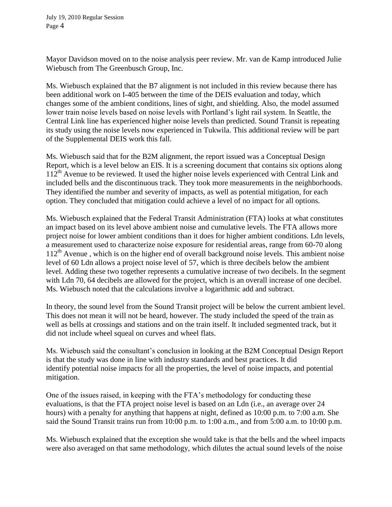Mayor Davidson moved on to the noise analysis peer review. Mr. van de Kamp introduced Julie Wiebusch from The Greenbusch Group, Inc.

Ms. Wiebusch explained that the B7 alignment is not included in this review because there has been additional work on I-405 between the time of the DEIS evaluation and today, which changes some of the ambient conditions, lines of sight, and shielding. Also, the model assumed lower train noise levels based on noise levels with Portland's light rail system. In Seattle, the Central Link line has experienced higher noise levels than predicted. Sound Transit is repeating its study using the noise levels now experienced in Tukwila. This additional review will be part of the Supplemental DEIS work this fall.

Ms. Wiebusch said that for the B2M alignment, the report issued was a Conceptual Design Report, which is a level below an EIS. It is a screening document that contains six options along  $112<sup>th</sup>$  Avenue to be reviewed. It used the higher noise levels experienced with Central Link and included bells and the discontinuous track. They took more measurements in the neighborhoods. They identified the number and severity of impacts, as well as potential mitigation, for each option. They concluded that mitigation could achieve a level of no impact for all options.

Ms. Wiebusch explained that the Federal Transit Administration (FTA) looks at what constitutes an impact based on its level above ambient noise and cumulative levels. The FTA allows more project noise for lower ambient conditions than it does for higher ambient conditions. Ldn levels, a measurement used to characterize noise exposure for residential areas, range from 60-70 along  $112<sup>th</sup>$  Avenue, which is on the higher end of overall background noise levels. This ambient noise level of 60 Ldn allows a project noise level of 57, which is three decibels below the ambient level. Adding these two together represents a cumulative increase of two decibels. In the segment with Ldn 70, 64 decibels are allowed for the project, which is an overall increase of one decibel. Ms. Wiebusch noted that the calculations involve a logarithmic add and subtract.

In theory, the sound level from the Sound Transit project will be below the current ambient level. This does not mean it will not be heard, however. The study included the speed of the train as well as bells at crossings and stations and on the train itself. It included segmented track, but it did not include wheel squeal on curves and wheel flats.

Ms. Wiebusch said the consultant's conclusion in looking at the B2M Conceptual Design Report is that the study was done in line with industry standards and best practices. It did identify potential noise impacts for all the properties, the level of noise impacts, and potential mitigation.

One of the issues raised, in keeping with the FTA's methodology for conducting these evaluations, is that the FTA project noise level is based on an Ldn (i.e., an average over 24 hours) with a penalty for anything that happens at night, defined as 10:00 p.m. to 7:00 a.m. She said the Sound Transit trains run from 10:00 p.m. to 1:00 a.m., and from 5:00 a.m. to 10:00 p.m.

Ms. Wiebusch explained that the exception she would take is that the bells and the wheel impacts were also averaged on that same methodology, which dilutes the actual sound levels of the noise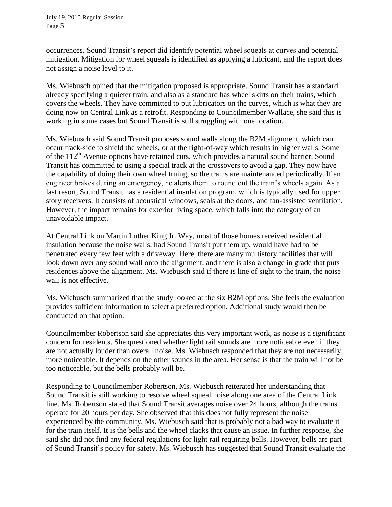occurrences. Sound Transit's report did identify potential wheel squeals at curves and potential mitigation. Mitigation for wheel squeals is identified as applying a lubricant, and the report does not assign a noise level to it.

Ms. Wiebusch opined that the mitigation proposed is appropriate. Sound Transit has a standard already specifying a quieter train, and also as a standard has wheel skirts on their trains, which covers the wheels. They have committed to put lubricators on the curves, which is what they are doing now on Central Link as a retrofit. Responding to Councilmember Wallace, she said this is working in some cases but Sound Transit is still struggling with one location.

Ms. Wiebusch said Sound Transit proposes sound walls along the B2M alignment, which can occur track-side to shield the wheels, or at the right-of-way which results in higher walls. Some of the 112<sup>th</sup> Avenue options have retained cuts, which provides a natural sound barrier. Sound Transit has committed to using a special track at the crossovers to avoid a gap. They now have the capability of doing their own wheel truing, so the trains are maintenanced periodically. If an engineer brakes during an emergency, he alerts them to round out the train's wheels again. As a last resort, Sound Transit has a residential insulation program, which is typically used for upper story receivers. It consists of acoustical windows, seals at the doors, and fan-assisted ventilation. However, the impact remains for exterior living space, which falls into the category of an unavoidable impact.

At Central Link on Martin Luther King Jr. Way, most of those homes received residential insulation because the noise walls, had Sound Transit put them up, would have had to be penetrated every few feet with a driveway. Here, there are many multistory facilities that will look down over any sound wall onto the alignment, and there is also a change in grade that puts residences above the alignment. Ms. Wiebusch said if there is line of sight to the train, the noise wall is not effective.

Ms. Wiebusch summarized that the study looked at the six B2M options. She feels the evaluation provides sufficient information to select a preferred option. Additional study would then be conducted on that option.

Councilmember Robertson said she appreciates this very important work, as noise is a significant concern for residents. She questioned whether light rail sounds are more noticeable even if they are not actually louder than overall noise. Ms. Wiebusch responded that they are not necessarily more noticeable. It depends on the other sounds in the area. Her sense is that the train will not be too noticeable, but the bells probably will be.

Responding to Councilmember Robertson, Ms. Wiebusch reiterated her understanding that Sound Transit is still working to resolve wheel squeal noise along one area of the Central Link line. Ms. Robertson stated that Sound Transit averages noise over 24 hours, although the trains operate for 20 hours per day. She observed that this does not fully represent the noise experienced by the community. Ms. Wiebusch said that is probably not a bad way to evaluate it for the train itself. It is the bells and the wheel clacks that cause an issue. In further response, she said she did not find any federal regulations for light rail requiring bells. However, bells are part of Sound Transit's policy for safety. Ms. Wiebusch has suggested that Sound Transit evaluate the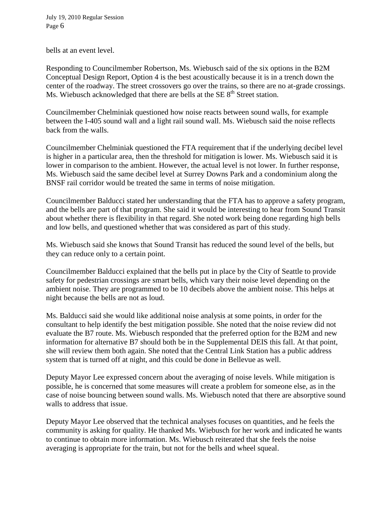bells at an event level.

Responding to Councilmember Robertson, Ms. Wiebusch said of the six options in the B2M Conceptual Design Report, Option 4 is the best acoustically because it is in a trench down the center of the roadway. The street crossovers go over the trains, so there are no at-grade crossings. Ms. Wiebusch acknowledged that there are bells at the SE  $8<sup>th</sup>$  Street station.

Councilmember Chelminiak questioned how noise reacts between sound walls, for example between the I-405 sound wall and a light rail sound wall. Ms. Wiebusch said the noise reflects back from the walls.

Councilmember Chelminiak questioned the FTA requirement that if the underlying decibel level is higher in a particular area, then the threshold for mitigation is lower. Ms. Wiebusch said it is lower in comparison to the ambient. However, the actual level is not lower. In further response, Ms. Wiebusch said the same decibel level at Surrey Downs Park and a condominium along the BNSF rail corridor would be treated the same in terms of noise mitigation.

Councilmember Balducci stated her understanding that the FTA has to approve a safety program, and the bells are part of that program. She said it would be interesting to hear from Sound Transit about whether there is flexibility in that regard. She noted work being done regarding high bells and low bells, and questioned whether that was considered as part of this study.

Ms. Wiebusch said she knows that Sound Transit has reduced the sound level of the bells, but they can reduce only to a certain point.

Councilmember Balducci explained that the bells put in place by the City of Seattle to provide safety for pedestrian crossings are smart bells, which vary their noise level depending on the ambient noise. They are programmed to be 10 decibels above the ambient noise. This helps at night because the bells are not as loud.

Ms. Balducci said she would like additional noise analysis at some points, in order for the consultant to help identify the best mitigation possible. She noted that the noise review did not evaluate the B7 route. Ms. Wiebusch responded that the preferred option for the B2M and new information for alternative B7 should both be in the Supplemental DEIS this fall. At that point, she will review them both again. She noted that the Central Link Station has a public address system that is turned off at night, and this could be done in Bellevue as well.

Deputy Mayor Lee expressed concern about the averaging of noise levels. While mitigation is possible, he is concerned that some measures will create a problem for someone else, as in the case of noise bouncing between sound walls. Ms. Wiebusch noted that there are absorptive sound walls to address that issue.

Deputy Mayor Lee observed that the technical analyses focuses on quantities, and he feels the community is asking for quality. He thanked Ms. Wiebusch for her work and indicated he wants to continue to obtain more information. Ms. Wiebusch reiterated that she feels the noise averaging is appropriate for the train, but not for the bells and wheel squeal.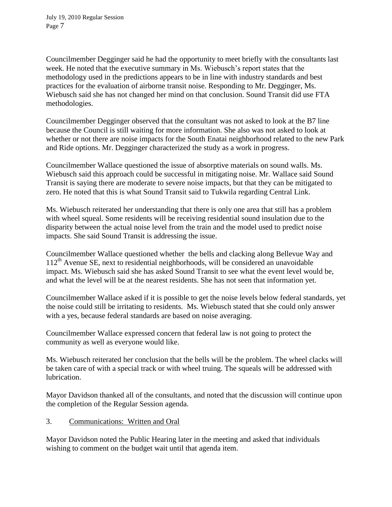Councilmember Degginger said he had the opportunity to meet briefly with the consultants last week. He noted that the executive summary in Ms. Wiebusch's report states that the methodology used in the predictions appears to be in line with industry standards and best practices for the evaluation of airborne transit noise. Responding to Mr. Degginger, Ms. Wiebusch said she has not changed her mind on that conclusion. Sound Transit did use FTA methodologies.

Councilmember Degginger observed that the consultant was not asked to look at the B7 line because the Council is still waiting for more information. She also was not asked to look at whether or not there are noise impacts for the South Enatai neighborhood related to the new Park and Ride options. Mr. Degginger characterized the study as a work in progress.

Councilmember Wallace questioned the issue of absorptive materials on sound walls. Ms. Wiebusch said this approach could be successful in mitigating noise. Mr. Wallace said Sound Transit is saying there are moderate to severe noise impacts, but that they can be mitigated to zero. He noted that this is what Sound Transit said to Tukwila regarding Central Link.

Ms. Wiebusch reiterated her understanding that there is only one area that still has a problem with wheel squeal. Some residents will be receiving residential sound insulation due to the disparity between the actual noise level from the train and the model used to predict noise impacts. She said Sound Transit is addressing the issue.

Councilmember Wallace questioned whether the bells and clacking along Bellevue Way and  $112<sup>th</sup>$  Avenue SE, next to residential neighborhoods, will be considered an unavoidable impact. Ms. Wiebusch said she has asked Sound Transit to see what the event level would be, and what the level will be at the nearest residents. She has not seen that information yet.

Councilmember Wallace asked if it is possible to get the noise levels below federal standards, yet the noise could still be irritating to residents. Ms. Wiebusch stated that she could only answer with a yes, because federal standards are based on noise averaging.

Councilmember Wallace expressed concern that federal law is not going to protect the community as well as everyone would like.

Ms. Wiebusch reiterated her conclusion that the bells will be the problem. The wheel clacks will be taken care of with a special track or with wheel truing. The squeals will be addressed with lubrication.

Mayor Davidson thanked all of the consultants, and noted that the discussion will continue upon the completion of the Regular Session agenda.

3. Communications: Written and Oral

Mayor Davidson noted the Public Hearing later in the meeting and asked that individuals wishing to comment on the budget wait until that agenda item.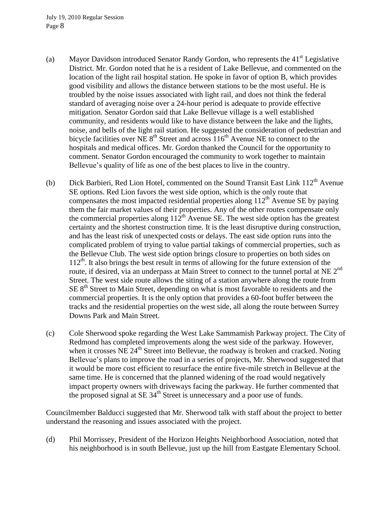- (a) Mayor Davidson introduced Senator Randy Gordon, who represents the  $41<sup>st</sup>$  Legislative District. Mr. Gordon noted that he is a resident of Lake Bellevue, and commented on the location of the light rail hospital station. He spoke in favor of option B, which provides good visibility and allows the distance between stations to be the most useful. He is troubled by the noise issues associated with light rail, and does not think the federal standard of averaging noise over a 24-hour period is adequate to provide effective mitigation. Senator Gordon said that Lake Bellevue village is a well established community, and residents would like to have distance between the lake and the lights, noise, and bells of the light rail station. He suggested the consideration of pedestrian and bicycle facilities over NE  $8<sup>th</sup>$  Street and across  $116<sup>th</sup>$  Avenue NE to connect to the hospitals and medical offices. Mr. Gordon thanked the Council for the opportunity to comment. Senator Gordon encouraged the community to work together to maintain Bellevue's quality of life as one of the best places to live in the country.
- (b) Dick Barbieri, Red Lion Hotel, commented on the Sound Transit East Link  $112<sup>th</sup>$  Avenue SE options. Red Lion favors the west side option, which is the only route that compensates the most impacted residential properties along  $112<sup>th</sup>$  Avenue SE by paying them the fair market values of their properties. Any of the other routes compensate only the commercial properties along  $112^{th}$  Avenue SE. The west side option has the greatest certainty and the shortest construction time. It is the least disruptive during construction, and has the least risk of unexpected costs or delays. The east side option runs into the complicated problem of trying to value partial takings of commercial properties, such as the Bellevue Club. The west side option brings closure to properties on both sides on  $112<sup>th</sup>$ . It also brings the best result in terms of allowing for the future extension of the route, if desired, via an underpass at Main Street to connect to the tunnel portal at NE 2<sup>nd</sup> Street. The west side route allows the siting of a station anywhere along the route from  $SE 8<sup>th</sup>$  Street to Main Street, depending on what is most favorable to residents and the commercial properties. It is the only option that provides a 60-foot buffer between the tracks and the residential properties on the west side, all along the route between Surrey Downs Park and Main Street.
- (c) Cole Sherwood spoke regarding the West Lake Sammamish Parkway project. The City of Redmond has completed improvements along the west side of the parkway. However, when it crosses NE  $24<sup>th</sup>$  Street into Bellevue, the roadway is broken and cracked. Noting Bellevue's plans to improve the road in a series of projects, Mr. Sherwood suggested that it would be more cost efficient to resurface the entire five-mile stretch in Bellevue at the same time. He is concerned that the planned widening of the road would negatively impact property owners with driveways facing the parkway. He further commented that the proposed signal at SE 34<sup>th</sup> Street is unnecessary and a poor use of funds.

Councilmember Balducci suggested that Mr. Sherwood talk with staff about the project to better understand the reasoning and issues associated with the project.

(d) Phil Morrissey, President of the Horizon Heights Neighborhood Association, noted that his neighborhood is in south Bellevue, just up the hill from Eastgate Elementary School.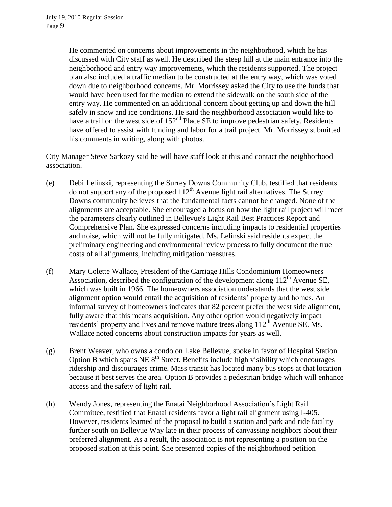He commented on concerns about improvements in the neighborhood, which he has discussed with City staff as well. He described the steep hill at the main entrance into the neighborhood and entry way improvements, which the residents supported. The project plan also included a traffic median to be constructed at the entry way, which was voted down due to neighborhood concerns. Mr. Morrissey asked the City to use the funds that would have been used for the median to extend the sidewalk on the south side of the entry way. He commented on an additional concern about getting up and down the hill safely in snow and ice conditions. He said the neighborhood association would like to have a trail on the west side of 152<sup>nd</sup> Place SE to improve pedestrian safety. Residents have offered to assist with funding and labor for a trail project. Mr. Morrissey submitted his comments in writing, along with photos.

City Manager Steve Sarkozy said he will have staff look at this and contact the neighborhood association.

- (e) Debi Lelinski, representing the Surrey Downs Community Club, testified that residents do not support any of the proposed  $112<sup>th</sup>$  Avenue light rail alternatives. The Surrey Downs community believes that the fundamental facts cannot be changed. None of the alignments are acceptable. She encouraged a focus on how the light rail project will meet the parameters clearly outlined in Bellevue's Light Rail Best Practices Report and Comprehensive Plan. She expressed concerns including impacts to residential properties and noise, which will not be fully mitigated. Ms. Lelinski said residents expect the preliminary engineering and environmental review process to fully document the true costs of all alignments, including mitigation measures.
- (f) Mary Colette Wallace, President of the Carriage Hills Condominium Homeowners Association, described the configuration of the development along  $112<sup>th</sup>$  Avenue SE, which was built in 1966. The homeowners association understands that the west side alignment option would entail the acquisition of residents' property and homes. An informal survey of homeowners indicates that 82 percent prefer the west side alignment, fully aware that this means acquisition. Any other option would negatively impact residents' property and lives and remove mature trees along  $112<sup>th</sup>$  Avenue SE. Ms. Wallace noted concerns about construction impacts for years as well.
- (g) Brent Weaver, who owns a condo on Lake Bellevue, spoke in favor of Hospital Station Option B which spans NE  $8<sup>th</sup>$  Street. Benefits include high visibility which encourages ridership and discourages crime. Mass transit has located many bus stops at that location because it best serves the area. Option B provides a pedestrian bridge which will enhance access and the safety of light rail.
- (h) Wendy Jones, representing the Enatai Neighborhood Association's Light Rail Committee, testified that Enatai residents favor a light rail alignment using I-405. However, residents learned of the proposal to build a station and park and ride facility further south on Bellevue Way late in their process of canvassing neighbors about their preferred alignment. As a result, the association is not representing a position on the proposed station at this point. She presented copies of the neighborhood petition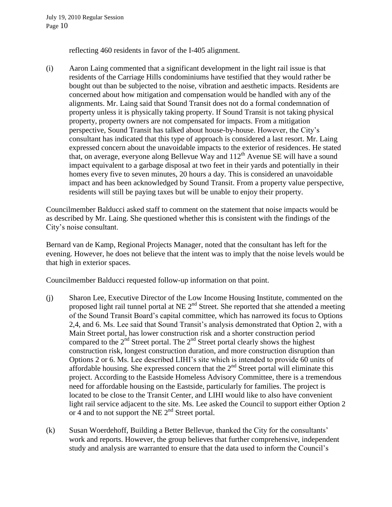reflecting 460 residents in favor of the I-405 alignment.

(i) Aaron Laing commented that a significant development in the light rail issue is that residents of the Carriage Hills condominiums have testified that they would rather be bought out than be subjected to the noise, vibration and aesthetic impacts. Residents are concerned about how mitigation and compensation would be handled with any of the alignments. Mr. Laing said that Sound Transit does not do a formal condemnation of property unless it is physically taking property. If Sound Transit is not taking physical property, property owners are not compensated for impacts. From a mitigation perspective, Sound Transit has talked about house-by-house. However, the City's consultant has indicated that this type of approach is considered a last resort. Mr. Laing expressed concern about the unavoidable impacts to the exterior of residences. He stated that, on average, everyone along Bellevue Way and  $112<sup>th</sup>$  Avenue SE will have a sound impact equivalent to a garbage disposal at two feet in their yards and potentially in their homes every five to seven minutes, 20 hours a day. This is considered an unavoidable impact and has been acknowledged by Sound Transit. From a property value perspective, residents will still be paying taxes but will be unable to enjoy their property.

Councilmember Balducci asked staff to comment on the statement that noise impacts would be as described by Mr. Laing. She questioned whether this is consistent with the findings of the City's noise consultant.

Bernard van de Kamp, Regional Projects Manager, noted that the consultant has left for the evening. However, he does not believe that the intent was to imply that the noise levels would be that high in exterior spaces.

Councilmember Balducci requested follow-up information on that point.

- (j) Sharon Lee, Executive Director of the Low Income Housing Institute, commented on the proposed light rail tunnel portal at NE  $2<sup>nd</sup>$  Street. She reported that she attended a meeting of the Sound Transit Board's capital committee, which has narrowed its focus to Options 2,4, and 6. Ms. Lee said that Sound Transit's analysis demonstrated that Option 2, with a Main Street portal, has lower construction risk and a shorter construction period compared to the  $2<sup>nd</sup>$  Street portal. The  $2<sup>nd</sup>$  Street portal clearly shows the highest construction risk, longest construction duration, and more construction disruption than Options 2 or 6. Ms. Lee described LIHI's site which is intended to provide 60 units of affordable housing. She expressed concern that the  $2<sup>nd</sup>$  Street portal will eliminate this project. According to the Eastside Homeless Advisory Committee, there is a tremendous need for affordable housing on the Eastside, particularly for families. The project is located to be close to the Transit Center, and LIHI would like to also have convenient light rail service adjacent to the site. Ms. Lee asked the Council to support either Option 2 or 4 and to not support the NE  $2<sup>nd</sup>$  Street portal.
- (k) Susan Woerdehoff, Building a Better Bellevue, thanked the City for the consultants' work and reports. However, the group believes that further comprehensive, independent study and analysis are warranted to ensure that the data used to inform the Council's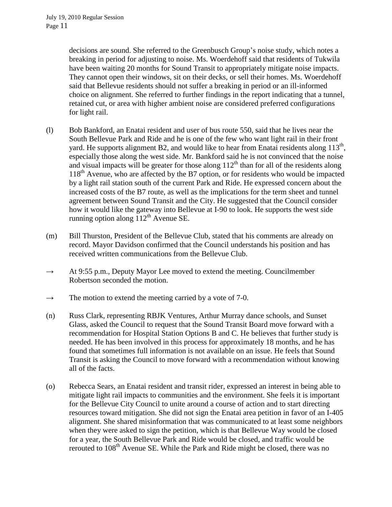decisions are sound. She referred to the Greenbusch Group's noise study, which notes a breaking in period for adjusting to noise. Ms. Woerdehoff said that residents of Tukwila have been waiting 20 months for Sound Transit to appropriately mitigate noise impacts. They cannot open their windows, sit on their decks, or sell their homes. Ms. Woerdehoff said that Bellevue residents should not suffer a breaking in period or an ill-informed choice on alignment. She referred to further findings in the report indicating that a tunnel, retained cut, or area with higher ambient noise are considered preferred configurations for light rail.

- (l) Bob Bankford, an Enatai resident and user of bus route 550, said that he lives near the South Bellevue Park and Ride and he is one of the few who want light rail in their front yard. He supports alignment B2, and would like to hear from Enatai residents along  $113<sup>th</sup>$ , especially those along the west side. Mr. Bankford said he is not convinced that the noise and visual impacts will be greater for those along  $112<sup>th</sup>$  than for all of the residents along  $118<sup>th</sup>$  Avenue, who are affected by the B7 option, or for residents who would be impacted by a light rail station south of the current Park and Ride. He expressed concern about the increased costs of the B7 route, as well as the implications for the term sheet and tunnel agreement between Sound Transit and the City. He suggested that the Council consider how it would like the gateway into Bellevue at I-90 to look. He supports the west side running option along  $112<sup>th</sup>$  Avenue SE.
- (m) Bill Thurston, President of the Bellevue Club, stated that his comments are already on record. Mayor Davidson confirmed that the Council understands his position and has received written communications from the Bellevue Club.
- $\rightarrow$  At 9:55 p.m., Deputy Mayor Lee moved to extend the meeting. Councilmember Robertson seconded the motion.
- $\rightarrow$  The motion to extend the meeting carried by a vote of 7-0.
- (n) Russ Clark, representing RBJK Ventures, Arthur Murray dance schools, and Sunset Glass, asked the Council to request that the Sound Transit Board move forward with a recommendation for Hospital Station Options B and C. He believes that further study is needed. He has been involved in this process for approximately 18 months, and he has found that sometimes full information is not available on an issue. He feels that Sound Transit is asking the Council to move forward with a recommendation without knowing all of the facts.
- (o) Rebecca Sears, an Enatai resident and transit rider, expressed an interest in being able to mitigate light rail impacts to communities and the environment. She feels it is important for the Bellevue City Council to unite around a course of action and to start directing resources toward mitigation. She did not sign the Enatai area petition in favor of an I-405 alignment. She shared misinformation that was communicated to at least some neighbors when they were asked to sign the petition, which is that Bellevue Way would be closed for a year, the South Bellevue Park and Ride would be closed, and traffic would be rerouted to 108<sup>th</sup> Avenue SE. While the Park and Ride might be closed, there was no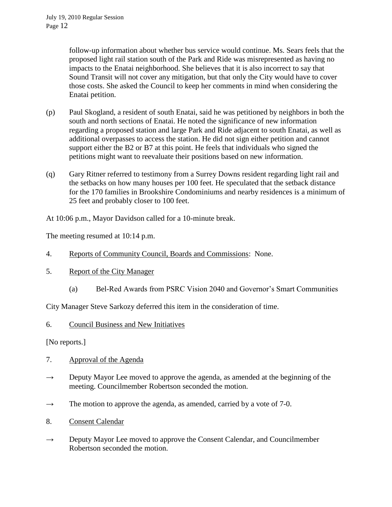follow-up information about whether bus service would continue. Ms. Sears feels that the proposed light rail station south of the Park and Ride was misrepresented as having no impacts to the Enatai neighborhood. She believes that it is also incorrect to say that Sound Transit will not cover any mitigation, but that only the City would have to cover those costs. She asked the Council to keep her comments in mind when considering the Enatai petition.

- (p) Paul Skogland, a resident of south Enatai, said he was petitioned by neighbors in both the south and north sections of Enatai. He noted the significance of new information regarding a proposed station and large Park and Ride adjacent to south Enatai, as well as additional overpasses to access the station. He did not sign either petition and cannot support either the B2 or B7 at this point. He feels that individuals who signed the petitions might want to reevaluate their positions based on new information.
- (q) Gary Ritner referred to testimony from a Surrey Downs resident regarding light rail and the setbacks on how many houses per 100 feet. He speculated that the setback distance for the 170 families in Brookshire Condominiums and nearby residences is a minimum of 25 feet and probably closer to 100 feet.

At 10:06 p.m., Mayor Davidson called for a 10-minute break.

The meeting resumed at 10:14 p.m.

- 4. Reports of Community Council, Boards and Commissions: None.
- 5. Report of the City Manager
	- (a) Bel-Red Awards from PSRC Vision 2040 and Governor's Smart Communities

City Manager Steve Sarkozy deferred this item in the consideration of time.

6. Council Business and New Initiatives

[No reports.]

- 7. Approval of the Agenda
- $\rightarrow$  Deputy Mayor Lee moved to approve the agenda, as amended at the beginning of the meeting. Councilmember Robertson seconded the motion.
- $\rightarrow$  The motion to approve the agenda, as amended, carried by a vote of 7-0.
- 8. Consent Calendar
- $\rightarrow$  Deputy Mayor Lee moved to approve the Consent Calendar, and Councilmember Robertson seconded the motion.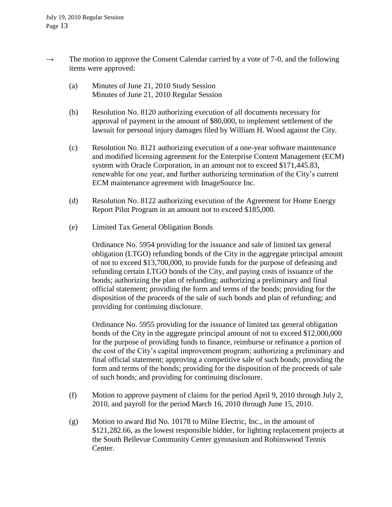- $\rightarrow$  The motion to approve the Consent Calendar carried by a vote of 7-0, and the following items were approved:
	- (a) Minutes of June 21, 2010 Study Session Minutes of June 21, 2010 Regular Session
	- (b) Resolution No. 8120 authorizing execution of all documents necessary for approval of payment in the amount of \$80,000, to implement settlement of the lawsuit for personal injury damages filed by William H. Wood against the City.
	- (c) Resolution No. 8121 authorizing execution of a one-year software maintenance and modified licensing agreement for the Enterprise Content Management (ECM) system with Oracle Corporation, in an amount not to exceed \$171,445.83, renewable for one year, and further authorizing termination of the City's current ECM maintenance agreement with ImageSource Inc.
	- (d) Resolution No. 8122 authorizing execution of the Agreement for Home Energy Report Pilot Program in an amount not to exceed \$185,000.
	- (e) Limited Tax General Obligation Bonds

Ordinance No. 5954 providing for the issuance and sale of limited tax general obligation (LTGO) refunding bonds of the City in the aggregate principal amount of not to exceed \$13,700,000, to provide funds for the purpose of defeasing and refunding certain LTGO bonds of the City, and paying costs of issuance of the bonds; authorizing the plan of refunding; authorizing a preliminary and final official statement; providing the form and terms of the bonds; providing for the disposition of the proceeds of the sale of such bonds and plan of refunding; and providing for continuing disclosure.

Ordinance No. 5955 providing for the issuance of limited tax general obligation bonds of the City in the aggregate principal amount of not to exceed \$12,000,000 for the purpose of providing funds to finance, reimburse or refinance a portion of the cost of the City's capital improvement program; authorizing a preliminary and final official statement; approving a competitive sale of such bonds; providing the form and terms of the bonds; providing for the disposition of the proceeds of sale of such bonds; and providing for continuing disclosure.

- (f) Motion to approve payment of claims for the period April 9, 2010 through July 2, 2010, and payroll for the period March 16, 2010 through June 15, 2010.
- (g) Motion to award Bid No. 10178 to Milne Electric, Inc., in the amount of \$121,282.66, as the lowest responsible bidder, for lighting replacement projects at the South Bellevue Community Center gymnasium and Robinswood Tennis Center.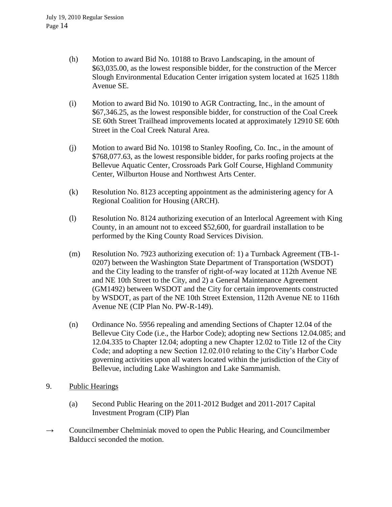- (h) Motion to award Bid No. 10188 to Bravo Landscaping, in the amount of \$63,035.00, as the lowest responsible bidder, for the construction of the Mercer Slough Environmental Education Center irrigation system located at 1625 118th Avenue SE.
- (i) Motion to award Bid No. 10190 to AGR Contracting, Inc., in the amount of \$67,346.25, as the lowest responsible bidder, for construction of the Coal Creek SE 60th Street Trailhead improvements located at approximately 12910 SE 60th Street in the Coal Creek Natural Area.
- (j) Motion to award Bid No. 10198 to Stanley Roofing, Co. Inc., in the amount of \$768,077.63, as the lowest responsible bidder, for parks roofing projects at the Bellevue Aquatic Center, Crossroads Park Golf Course, Highland Community Center, Wilburton House and Northwest Arts Center.
- (k) Resolution No. 8123 accepting appointment as the administering agency for A Regional Coalition for Housing (ARCH).
- (l) Resolution No. 8124 authorizing execution of an Interlocal Agreement with King County, in an amount not to exceed \$52,600, for guardrail installation to be performed by the King County Road Services Division.
- (m) Resolution No. 7923 authorizing execution of: 1) a Turnback Agreement (TB-1- 0207) between the Washington State Department of Transportation (WSDOT) and the City leading to the transfer of right-of-way located at 112th Avenue NE and NE 10th Street to the City, and 2) a General Maintenance Agreement (GM1492) between WSDOT and the City for certain improvements constructed by WSDOT, as part of the NE 10th Street Extension, 112th Avenue NE to 116th Avenue NE (CIP Plan No. PW-R-149).
- (n) Ordinance No. 5956 repealing and amending Sections of Chapter 12.04 of the Bellevue City Code (i.e., the Harbor Code); adopting new Sections 12.04.085; and 12.04.335 to Chapter 12.04; adopting a new Chapter 12.02 to Title 12 of the City Code; and adopting a new Section 12.02.010 relating to the City's Harbor Code governing activities upon all waters located within the jurisdiction of the City of Bellevue, including Lake Washington and Lake Sammamish.
- 9. Public Hearings
	- (a) Second Public Hearing on the 2011-2012 Budget and 2011-2017 Capital Investment Program (CIP) Plan
- $\rightarrow$  Councilmember Chelminiak moved to open the Public Hearing, and Councilmember Balducci seconded the motion.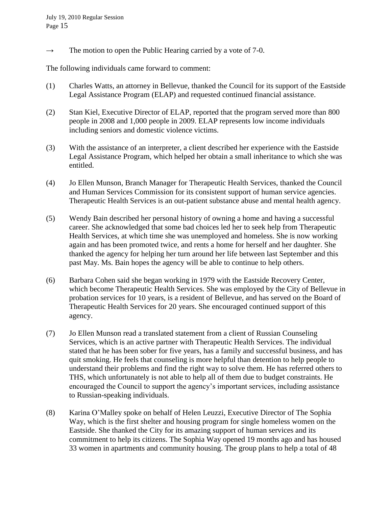$\rightarrow$  The motion to open the Public Hearing carried by a vote of 7-0.

The following individuals came forward to comment:

- (1) Charles Watts, an attorney in Bellevue, thanked the Council for its support of the Eastside Legal Assistance Program (ELAP) and requested continued financial assistance.
- (2) Stan Kiel, Executive Director of ELAP, reported that the program served more than 800 people in 2008 and 1,000 people in 2009. ELAP represents low income individuals including seniors and domestic violence victims.
- (3) With the assistance of an interpreter, a client described her experience with the Eastside Legal Assistance Program, which helped her obtain a small inheritance to which she was entitled.
- (4) Jo Ellen Munson, Branch Manager for Therapeutic Health Services, thanked the Council and Human Services Commission for its consistent support of human service agencies. Therapeutic Health Services is an out-patient substance abuse and mental health agency.
- (5) Wendy Bain described her personal history of owning a home and having a successful career. She acknowledged that some bad choices led her to seek help from Therapeutic Health Services, at which time she was unemployed and homeless. She is now working again and has been promoted twice, and rents a home for herself and her daughter. She thanked the agency for helping her turn around her life between last September and this past May. Ms. Bain hopes the agency will be able to continue to help others.
- (6) Barbara Cohen said she began working in 1979 with the Eastside Recovery Center, which become Therapeutic Health Services. She was employed by the City of Bellevue in probation services for 10 years, is a resident of Bellevue, and has served on the Board of Therapeutic Health Services for 20 years. She encouraged continued support of this agency.
- (7) Jo Ellen Munson read a translated statement from a client of Russian Counseling Services, which is an active partner with Therapeutic Health Services. The individual stated that he has been sober for five years, has a family and successful business, and has quit smoking. He feels that counseling is more helpful than detention to help people to understand their problems and find the right way to solve them. He has referred others to THS, which unfortunately is not able to help all of them due to budget constraints. He encouraged the Council to support the agency's important services, including assistance to Russian-speaking individuals.
- (8) Karina O'Malley spoke on behalf of Helen Leuzzi, Executive Director of The Sophia Way, which is the first shelter and housing program for single homeless women on the Eastside. She thanked the City for its amazing support of human services and its commitment to help its citizens. The Sophia Way opened 19 months ago and has housed 33 women in apartments and community housing. The group plans to help a total of 48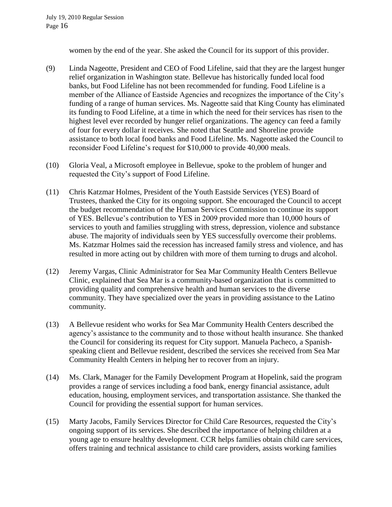women by the end of the year. She asked the Council for its support of this provider.

- (9) Linda Nageotte, President and CEO of Food Lifeline, said that they are the largest hunger relief organization in Washington state. Bellevue has historically funded local food banks, but Food Lifeline has not been recommended for funding. Food Lifeline is a member of the Alliance of Eastside Agencies and recognizes the importance of the City's funding of a range of human services. Ms. Nageotte said that King County has eliminated its funding to Food Lifeline, at a time in which the need for their services has risen to the highest level ever recorded by hunger relief organizations. The agency can feed a family of four for every dollar it receives. She noted that Seattle and Shoreline provide assistance to both local food banks and Food Lifeline. Ms. Nageotte asked the Council to reconsider Food Lifeline's request for \$10,000 to provide 40,000 meals.
- (10) Gloria Veal, a Microsoft employee in Bellevue, spoke to the problem of hunger and requested the City's support of Food Lifeline.
- (11) Chris Katzmar Holmes, President of the Youth Eastside Services (YES) Board of Trustees, thanked the City for its ongoing support. She encouraged the Council to accept the budget recommendation of the Human Services Commission to continue its support of YES. Bellevue's contribution to YES in 2009 provided more than 10,000 hours of services to youth and families struggling with stress, depression, violence and substance abuse. The majority of individuals seen by YES successfully overcome their problems. Ms. Katzmar Holmes said the recession has increased family stress and violence, and has resulted in more acting out by children with more of them turning to drugs and alcohol.
- (12) Jeremy Vargas, Clinic Administrator for Sea Mar Community Health Centers Bellevue Clinic, explained that Sea Mar is a community-based organization that is committed to providing quality and comprehensive health and human services to the diverse community. They have specialized over the years in providing assistance to the Latino community.
- (13) A Bellevue resident who works for Sea Mar Community Health Centers described the agency's assistance to the community and to those without health insurance. She thanked the Council for considering its request for City support. Manuela Pacheco, a Spanishspeaking client and Bellevue resident, described the services she received from Sea Mar Community Health Centers in helping her to recover from an injury.
- (14) Ms. Clark, Manager for the Family Development Program at Hopelink, said the program provides a range of services including a food bank, energy financial assistance, adult education, housing, employment services, and transportation assistance. She thanked the Council for providing the essential support for human services.
- (15) Marty Jacobs, Family Services Director for Child Care Resources, requested the City's ongoing support of its services. She described the importance of helping children at a young age to ensure healthy development. CCR helps families obtain child care services, offers training and technical assistance to child care providers, assists working families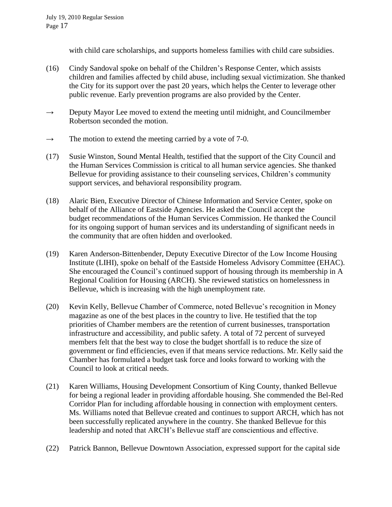with child care scholarships, and supports homeless families with child care subsidies.

- (16) Cindy Sandoval spoke on behalf of the Children's Response Center, which assists children and families affected by child abuse, including sexual victimization. She thanked the City for its support over the past 20 years, which helps the Center to leverage other public revenue. Early prevention programs are also provided by the Center.
- $\rightarrow$  Deputy Mayor Lee moved to extend the meeting until midnight, and Councilmember Robertson seconded the motion.
- $\rightarrow$  The motion to extend the meeting carried by a vote of 7-0.
- (17) Susie Winston, Sound Mental Health, testified that the support of the City Council and the Human Services Commission is critical to all human service agencies. She thanked Bellevue for providing assistance to their counseling services, Children's community support services, and behavioral responsibility program.
- (18) Alaric Bien, Executive Director of Chinese Information and Service Center, spoke on behalf of the Alliance of Eastside Agencies. He asked the Council accept the budget recommendations of the Human Services Commission. He thanked the Council for its ongoing support of human services and its understanding of significant needs in the community that are often hidden and overlooked.
- (19) Karen Anderson-Bittenbender, Deputy Executive Director of the Low Income Housing Institute (LIHI), spoke on behalf of the Eastside Homeless Advisory Committee (EHAC). She encouraged the Council's continued support of housing through its membership in A Regional Coalition for Housing (ARCH). She reviewed statistics on homelessness in Bellevue, which is increasing with the high unemployment rate.
- (20) Kevin Kelly, Bellevue Chamber of Commerce, noted Bellevue's recognition in Money magazine as one of the best places in the country to live. He testified that the top priorities of Chamber members are the retention of current businesses, transportation infrastructure and accessibility, and public safety. A total of 72 percent of surveyed members felt that the best way to close the budget shortfall is to reduce the size of government or find efficiencies, even if that means service reductions. Mr. Kelly said the Chamber has formulated a budget task force and looks forward to working with the Council to look at critical needs.
- (21) Karen Williams, Housing Development Consortium of King County, thanked Bellevue for being a regional leader in providing affordable housing. She commended the Bel-Red Corridor Plan for including affordable housing in connection with employment centers. Ms. Williams noted that Bellevue created and continues to support ARCH, which has not been successfully replicated anywhere in the country. She thanked Bellevue for this leadership and noted that ARCH's Bellevue staff are conscientious and effective.
- (22) Patrick Bannon, Bellevue Downtown Association, expressed support for the capital side